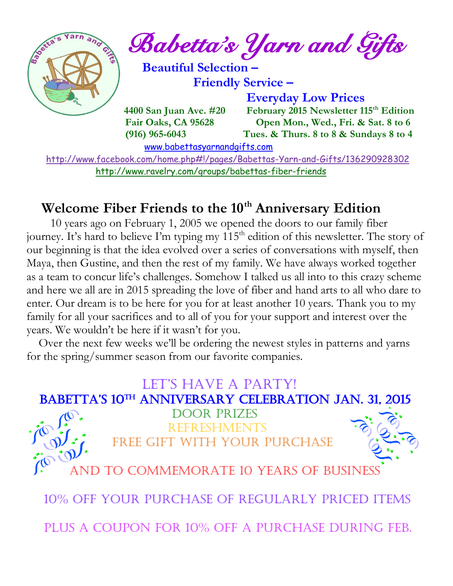

 <http://www.facebook.com/home.php#!/pages/Babettas-Yarn-and-Gifts/136290928302> <http://www.ravelry.com/groups/babettas-fiber-friends>

## **Welcome Fiber Friends to the 10th Anniversary Edition**

 10 years ago on February 1, 2005 we opened the doors to our family fiber journey. It's hard to believe I'm typing my 115<sup>th</sup> edition of this newsletter. The story of our beginning is that the idea evolved over a series of conversations with myself, then Maya, then Gustine, and then the rest of my family. We have always worked together as a team to concur life's challenges. Somehow I talked us all into to this crazy scheme and here we all are in 2015 spreading the love of fiber and hand arts to all who dare to enter. Our dream is to be here for you for at least another 10 years. Thank you to my family for all your sacrifices and to all of you for your support and interest over the years. We wouldn't be here if it wasn't for you.

 Over the next few weeks we'll be ordering the newest styles in patterns and yarns for the spring/summer season from our favorite companies.

#### LET'S HAVE A PARTY! BABETTA'S 10<sup>TH</sup> ANNIVERSARY CELEBRATION JAN. 31, 2015



 Door Prizes Refreshments Free gift with your purchase



TO COMMEMORATE 10 YEARS OF BUSINESS

10% off your purchase of regularly priced items

Plus a coupon for 10% off a purchase during Feb.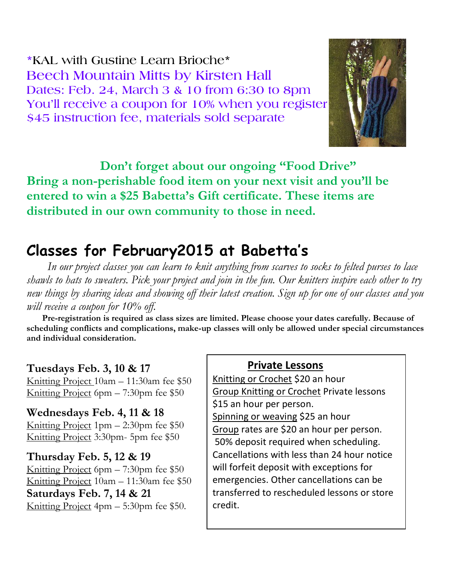**\*KAL with Gustine Learn Brioche\* Beech Mountain Mitts by Kirsten Hall Dates: Feb. 24, March 3 & 10 from 6:30 to 8pm You'll receive a coupon for 10% when you register \$45 instruction fee, materials sold separate**



 **Don't forget about our ongoing "Food Drive" Bring a non-perishable food item on your next visit and you'll be entered to win a \$25 Babetta's Gift certificate. These items are distributed in our own community to those in need.**

## **Classes for February2015 at Babetta's**

 *In our project classes you can learn to knit anything from scarves to socks to felted purses to lace shawls to hats to sweaters. Pick your project and join in the fun. Our knitters inspire each other to try new things by sharing ideas and showing off their latest creation. Sign up for one of our classes and you will receive a coupon for 10% off.*

 **Pre-registration is required as class sizes are limited. Please choose your dates carefully. Because of scheduling conflicts and complications, make-up classes will only be allowed under special circumstances and individual consideration.**

#### **Tuesdays Feb. 3, 10 & 17**

Knitting Project 10am – 11:30am fee \$50 Knitting Project 6pm – 7:30pm fee \$50

**Wednesdays Feb. 4, 11 & 18** Knitting Project 1pm – 2:30pm fee \$50 Knitting Project 3:30pm- 5pm fee \$50

#### **Thursday Feb. 5, 12 & 19**

Knitting Project 6pm – 7:30pm fee \$50 Knitting Project 10am – 11:30am fee \$50 **Saturdays Feb. 7, 14 & 21** Knitting Project 4pm – 5:30pm fee \$50.

#### **Private Lessons**

Knitting or Crochet \$20 an hour Group Knitting or Crochet Private lessons \$15 an hour per person. Spinning or weaving \$25 an hour Group rates are \$20 an hour per person. 50% deposit required when scheduling. Cancellations with less than 24 hour notice will forfeit deposit with exceptions for emergencies. Other cancellations can be transferred to rescheduled lessons or store credit.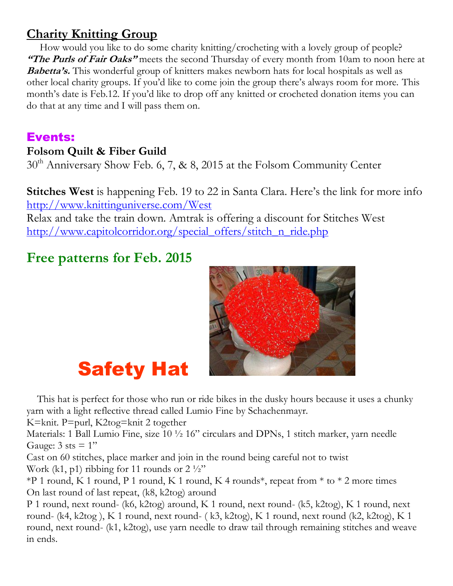## **Charity Knitting Group**

 How would you like to do some charity knitting/crocheting with a lovely group of people? **"The Purls of Fair Oaks"** meets the second Thursday of every month from 10am to noon here at **Babetta's.** This wonderful group of knitters makes newborn hats for local hospitals as well as other local charity groups. If you'd like to come join the group there's always room for more. This month's date is Feb.12. If you'd like to drop off any knitted or crocheted donation items you can do that at any time and I will pass them on.

### Events:

#### **Folsom Quilt & Fiber Guild**

 $30<sup>th</sup>$  Anniversary Show Feb. 6, 7, & 8, 2015 at the Folsom Community Center

**Stitches West** is happening Feb. 19 to 22 in Santa Clara. Here's the link for more info <http://www.knittinguniverse.com/West>

Relax and take the train down. Amtrak is offering a discount for Stitches West [http://www.capitolcorridor.org/special\\_offers/stitch\\_n\\_ride.php](http://www.capitolcorridor.org/special_offers/stitch_n_ride.php)

## **Free patterns for Feb. 2015**



# Safety Hat

 This hat is perfect for those who run or ride bikes in the dusky hours because it uses a chunky yarn with a light reflective thread called Lumio Fine by Schachenmayr.

K=knit. P=purl, K2tog=knit 2 together

Materials: 1 Ball Lumio Fine, size 10  $\frac{1}{2}$  16" circulars and DPNs, 1 stitch marker, yarn needle Gauge:  $3$  sts =  $1"$ 

Cast on 60 stitches, place marker and join in the round being careful not to twist Work (k1, p1) ribbing for 11 rounds or  $2\frac{1}{2}$ "

\*P 1 round, K 1 round, P 1 round, K 1 round, K 4 rounds<sup>\*</sup>, repeat from  $*$  to  $*$  2 more times On last round of last repeat, (k8, k2tog) around

P 1 round, next round- (k6, k2tog) around, K 1 round, next round- (k5, k2tog), K 1 round, next round- (k4, k2tog ), K 1 round, next round- ( k3, k2tog), K 1 round, next round (k2, k2tog), K 1 round, next round- (k1, k2tog), use yarn needle to draw tail through remaining stitches and weave in ends.